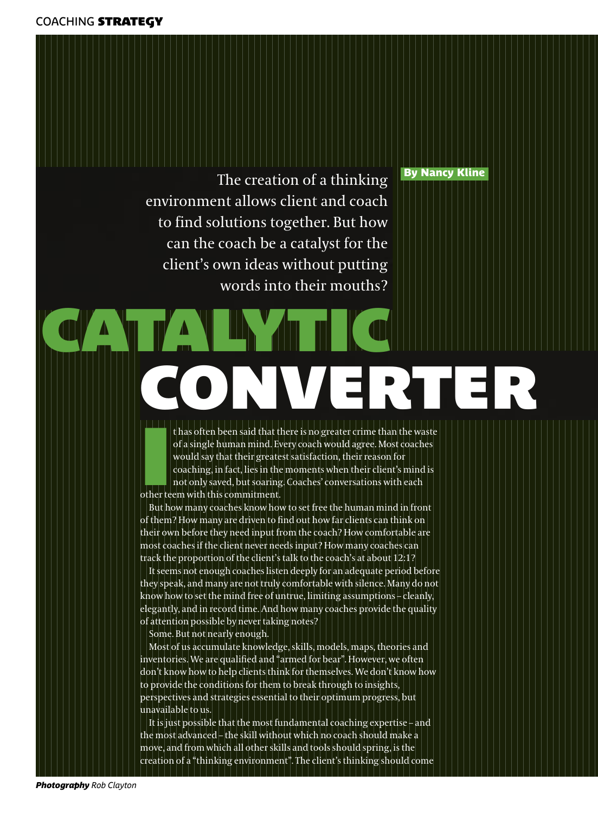## By Nancy Kline

The creation of a thinking environment allows client and coach to find solutions together. But how can the coach be a catalyst for the client's own ideas without putting words into their mouths?

# **CATALYTIC CONVERTER**

**I** thas often been said that t<br>
of a single human mind. Ev<br>
would say that their greate<br>
coaching, in fact, lies in the<br>
not only saved, but soaring<br>
other teem with this commitment. t has often been said that there is no greater crime than the waste of a single human mind. Every coach would agree. Most coaches would say that their greatest satisfaction, their reason for coaching, in fact, lies in the moments when their client's mind is not only saved, but soaring. Coaches' conversations with each

But how many coaches know how to set free the human mind in front of them? How many are driven to find out how far clients can think on their own before they need input from the coach? How comfortable are most coaches if the client never needs input? How many coaches can track the proportion of the client's talk to the coach's at about 12:1?

It seems not enough coaches listen deeply for an adequate period before they speak, and many are not truly comfortable with silence. Many do not know how to set the mind free of untrue, limiting assumptions – cleanly, elegantly, and in record time. And how many coaches provide the quality of attention possible by never taking notes?

Some. But not nearly enough.

Most of us accumulate knowledge, skills, models, maps, theories and inventories. We are qualified and "armed for bear". However, we often don't know how to help clients think for themselves. We don't know how to provide the conditions for them to break through to insights, perspectives and strategies essential to their optimum progress, but unavailable to us.

It is just possible that the most fundamental coaching expertise – and the most advanced – the skill without which no coach should make a move, and from which all other skills and tools should spring, is the creation of a "thinking environment". The client's thinking should come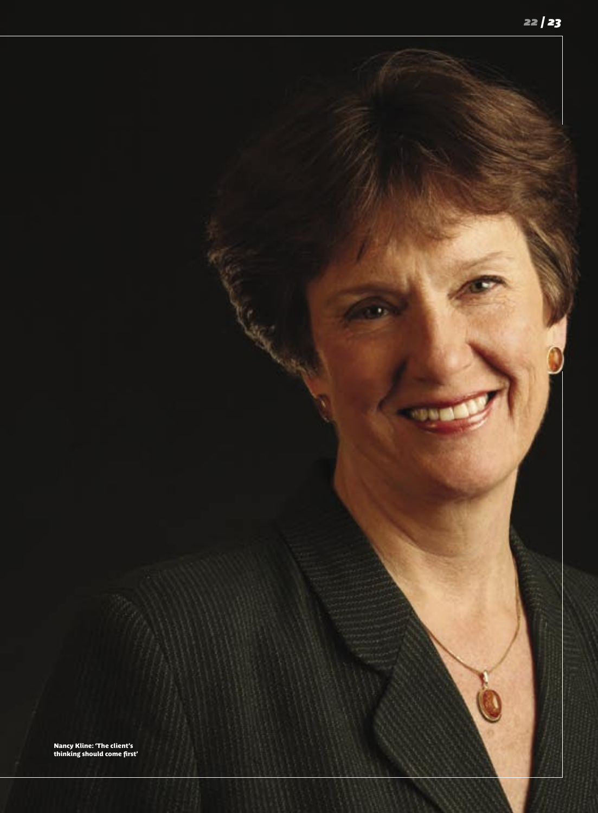٠, Nancy Kline: 'The client's thinking should come first'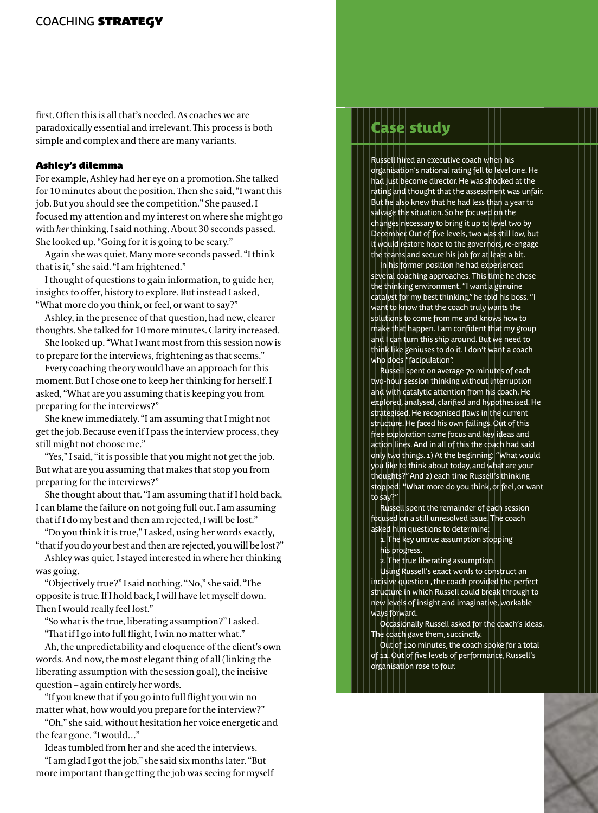first. Often this is all that's needed. As coaches we are paradoxically essential and irrelevant. This process is both simple and complex and there are many variants.

### **Ashley's dilemma**

For example, Ashley had her eye on a promotion. She talked for 10 minutes about the position. Then she said, "I want this job. But you should see the competition." She paused. I focused my attention and my interest on where she might go with *her* thinking. I said nothing. About 30 seconds passed. She looked up. "Going for it is going to be scary."

Again she was quiet. Many more seconds passed. "I think that is it," she said. "I am frightened."

I thought of questions to gain information, to guide her, insights to offer, history to explore. But instead I asked, "What more do you think, or feel, or want to say?"

Ashley, in the presence of that question, had new, clearer thoughts. She talked for 10 more minutes. Clarity increased.

She looked up. "What I want most from this session now is to prepare for the interviews, frightening as that seems."

Every coaching theory would have an approach for this moment. But I chose one to keep her thinking for herself. I asked, "What are you assuming that is keeping you from preparing for the interviews?"

She knew immediately. "I am assuming that I might not get the job. Because even if I pass the interview process, they still might not choose me."

"Yes," I said, "it is possible that you might not get the job. But what are you assuming that makes that stop you from preparing for the interviews?"

She thought about that. "I am assuming that if I hold back, I can blame the failure on not going full out. I am assuming that if I do my best and then am rejected, I will be lost."

"Do you think it is true," I asked, using her words exactly, "that if you do your best and then are rejected, you will be lost?"

Ashley was quiet. I stayed interested in where her thinking was going.

"Objectively true?" I said nothing. "No," she said. "The opposite is true. If I hold back, I will have let myself down. Then I would really feel lost."

"So what is the true, liberating assumption?" I asked.

"That if I go into full flight, I win no matter what."

Ah, the unpredictability and eloquence of the client's own words. And now, the most elegant thing of all (linking the liberating assumption with the session goal), the incisive question – again entirely her words.

"If you knew that if you go into full flight you win no matter what, how would you prepare for the interview?"

"Oh," she said, without hesitation her voice energetic and the fear gone. "I would…"

Ideas tumbled from her and she aced the interviews.

"I am glad I got the job," she said six months later. "But more important than getting the job was seeing for myself

## se study

Russell hired an executive coach when his organisation's national rating fell to level one. He had just become director. He was shocked at the rating and thought that the assessment was unfair. But he also knew that he had less than a year to salvage the situation. So he focused on the changes necessary to bring it up to level two by December. Out of five levels, two was still low, but it would restore hope to the governors, re-engage the teams and secure his job for at least a bit.

In his former position he had experienced several coaching approaches. This time he chose the thinking environment. "I want a genuine catalyst for my best thinking," he told his boss. "I want to know that the coach truly wants the solutions to come from me and knows how to make that happen. I am confident that my group and I can turn this ship around. But we need to think like geniuses to do it. I don't want a coach who does "facipulation".

Russell spent on average 70 minutes of each two-hour session thinking without interruption and with catalytic attention from his coach. He explored, analysed, clarified and hypothesised. He strategised. He recognised flaws in the current structure. He faced his own failings. Out of this free exploration came focus and key ideas and action lines. And in all of this the coach had said only two things. 1) At the beginning: "What would you like to think about today, and what are your thoughts?" And 2) each time Russell's thinking stopped: "What more do you think, or feel, or want to say?"

Russell spent the remainder of each session focused on a still unresolved issue. The coach asked him questions to determine:

1. The key untrue assumption stopping his progress.

2. The true liberating assumption.

Using Russell's exact words to construct an incisive question , the coach provided the perfect structure in which Russell could break through to new levels of insight and imaginative, workable ways forward.

Occasionally Russell asked for the coach's ideas. The coach gave them, succinctly.

Out of 120 minutes, the coach spoke for a total of 11. Out of five levels of performance, Russell's organisation rose to four.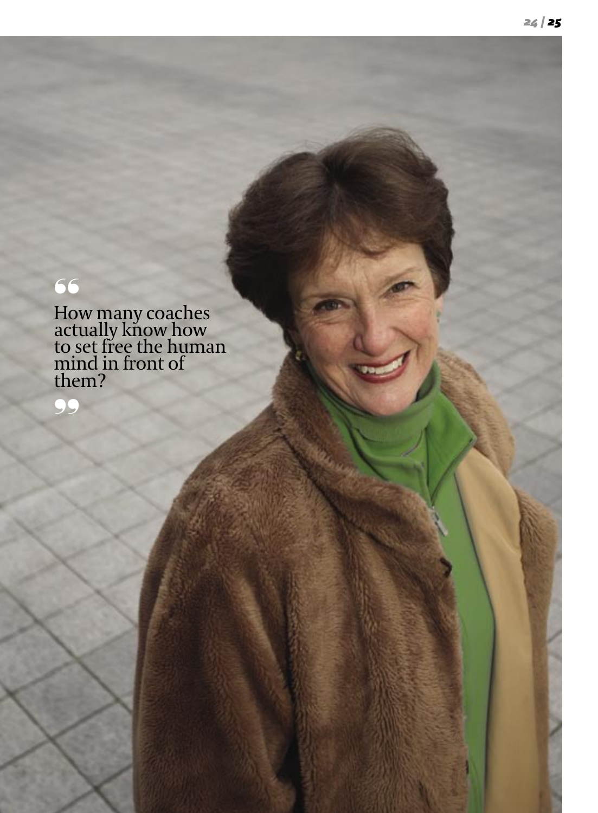## ❛❛

How many coaches actually know how to set free the human mind in front of them?

❜❜